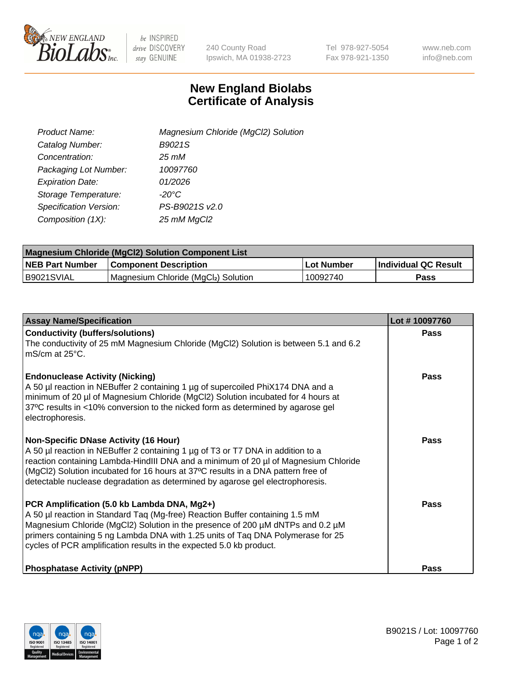

 $be$  INSPIRED drive DISCOVERY stay GENUINE

240 County Road Ipswich, MA 01938-2723 Tel 978-927-5054 Fax 978-921-1350 www.neb.com info@neb.com

## **New England Biolabs Certificate of Analysis**

| Product Name:           | Magnesium Chloride (MgCl2) Solution |
|-------------------------|-------------------------------------|
| Catalog Number:         | B9021S                              |
| Concentration:          | $25 \, \text{m}$ M                  |
| Packaging Lot Number:   | 10097760                            |
| <b>Expiration Date:</b> | 01/2026                             |
| Storage Temperature:    | $-20^{\circ}$ C                     |
| Specification Version:  | PS-B9021S v2.0                      |
| Composition (1X):       | 25 mM MgCl2                         |

| <b>Magnesium Chloride (MgCl2) Solution Component List</b> |                                     |            |                             |  |  |
|-----------------------------------------------------------|-------------------------------------|------------|-----------------------------|--|--|
| <b>NEB Part Number</b>                                    | <b>Component Description</b>        | Lot Number | <b>Individual QC Result</b> |  |  |
| B9021SVIAL                                                | Magnesium Chloride (MgCl2) Solution | 10092740   | Pass                        |  |  |

| <b>Assay Name/Specification</b>                                                                                                                                                                                                                                                                                                                                                             | Lot #10097760 |
|---------------------------------------------------------------------------------------------------------------------------------------------------------------------------------------------------------------------------------------------------------------------------------------------------------------------------------------------------------------------------------------------|---------------|
| <b>Conductivity (buffers/solutions)</b><br>The conductivity of 25 mM Magnesium Chloride (MgCl2) Solution is between 5.1 and 6.2<br>l mS/cm at 25°C.                                                                                                                                                                                                                                         | <b>Pass</b>   |
| <b>Endonuclease Activity (Nicking)</b><br>A 50 µl reaction in NEBuffer 2 containing 1 µg of supercoiled PhiX174 DNA and a<br>minimum of 20 µl of Magnesium Chloride (MgCl2) Solution incubated for 4 hours at<br>37°C results in <10% conversion to the nicked form as determined by agarose gel<br>electrophoresis.                                                                        | Pass          |
| <b>Non-Specific DNase Activity (16 Hour)</b><br>A 50 µl reaction in NEBuffer 2 containing 1 µg of T3 or T7 DNA in addition to a<br>reaction containing Lambda-HindIII DNA and a minimum of 20 µl of Magnesium Chloride<br>(MgCl2) Solution incubated for 16 hours at 37°C results in a DNA pattern free of<br>detectable nuclease degradation as determined by agarose gel electrophoresis. | Pass          |
| PCR Amplification (5.0 kb Lambda DNA, Mg2+)<br>A 50 µl reaction in Standard Taq (Mg-free) Reaction Buffer containing 1.5 mM<br>Magnesium Chloride (MgCl2) Solution in the presence of 200 µM dNTPs and 0.2 µM<br>primers containing 5 ng Lambda DNA with 1.25 units of Tag DNA Polymerase for 25<br>cycles of PCR amplification results in the expected 5.0 kb product.                     | Pass          |
| <b>Phosphatase Activity (pNPP)</b>                                                                                                                                                                                                                                                                                                                                                          | Pass          |